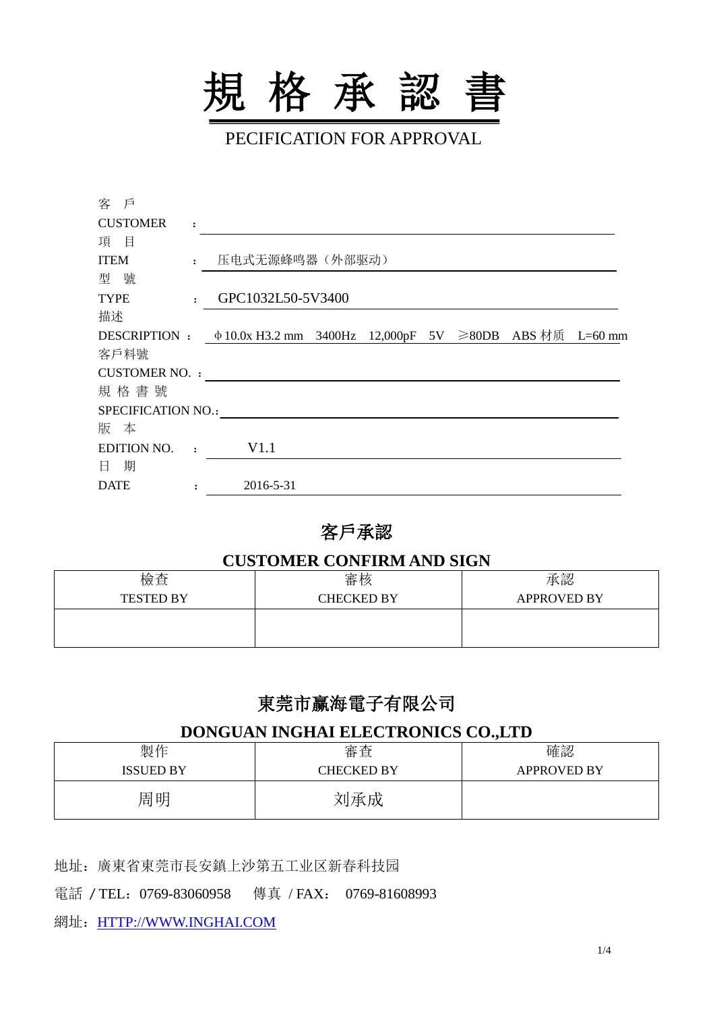

PECIFICATION FOR APPROVAL

| 客 戶                       |                |                                                                            |  |  |  |  |
|---------------------------|----------------|----------------------------------------------------------------------------|--|--|--|--|
| <b>CUSTOMER</b>           | $\ddot{\cdot}$ |                                                                            |  |  |  |  |
| 項目                        |                |                                                                            |  |  |  |  |
| <b>ITEM</b>               | $\mathbf{r}$   | 压电式无源蜂鸣器(外部驱动)                                                             |  |  |  |  |
| 型號                        |                |                                                                            |  |  |  |  |
| <b>TYPE</b>               | $\mathbf{r}$   | GPC1032L50-5V3400                                                          |  |  |  |  |
| 描述                        |                |                                                                            |  |  |  |  |
|                           |                | DESCRIPTION : $\phi$ 10.0x H3.2 mm 3400Hz 12,000pF 5V ≥80DB ABS 材质 L=60 mm |  |  |  |  |
| 客戶料號                      |                |                                                                            |  |  |  |  |
| <b>CUSTOMER NO.:</b>      |                |                                                                            |  |  |  |  |
| 規格書號                      |                |                                                                            |  |  |  |  |
| <b>SPECIFICATION NO.:</b> |                |                                                                            |  |  |  |  |
| 版 本                       |                |                                                                            |  |  |  |  |
| <b>EDITION NO.</b>        | $\sim$ 1.      | V1.1                                                                       |  |  |  |  |
| 日 期                       |                |                                                                            |  |  |  |  |
| <b>DATE</b>               |                | 2016-5-31                                                                  |  |  |  |  |
|                           |                |                                                                            |  |  |  |  |

### 客戶承認

#### **CUSTOMER CONFIRM AND SIGN**

| 檢查               | 審核                | 承認                 |
|------------------|-------------------|--------------------|
| <b>TESTED BY</b> | <b>CHECKED BY</b> | <b>APPROVED BY</b> |
|                  |                   |                    |
|                  |                   |                    |

# 東莞市赢海電子有限公司

#### **DONGUAN INGHAI ELECTRONICS CO.,LTD**

| 製作               | 審査                | 確認                 |
|------------------|-------------------|--------------------|
| <b>ISSUED BY</b> | <b>CHECKED BY</b> | <b>APPROVED BY</b> |
| 周明               | 刘承成               |                    |

地址:廣東省東莞市長安鎮上沙第五工业区新春科技园

電話 / TEL:0769-83060958 傳真 / FAX: 0769-81608993

網址:[HTTP://WWW.INGHAI.COM](http://www.inghai.com/)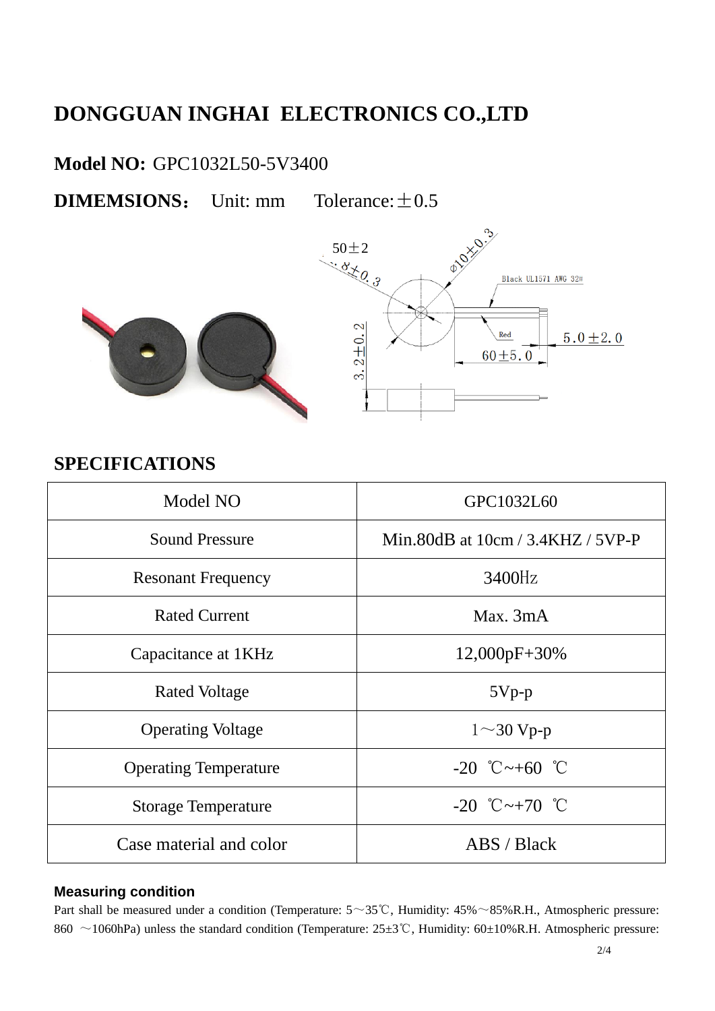# **DONGGUAN INGHAI ELECTRONICS CO.,LTD**

### **Model NO:** GPC1032L50-5V3400

**DIMEMSIONS:** Unit: mm Tolerance:  $\pm 0.5$ 



## **SPECIFICATIONS**

| Model NO                     | GPC1032L60                          |  |  |
|------------------------------|-------------------------------------|--|--|
| <b>Sound Pressure</b>        | Min.80dB at $10cm / 3.4KHZ / 5VP-P$ |  |  |
| <b>Resonant Frequency</b>    | 3400Hz                              |  |  |
| <b>Rated Current</b>         | Max. $3mA$                          |  |  |
| Capacitance at 1KHz          | $12,000pF+30%$                      |  |  |
| Rated Voltage                | $5Vp-p$                             |  |  |
| <b>Operating Voltage</b>     | $1 \sim 30$ Vp-p                    |  |  |
| <b>Operating Temperature</b> | $-20$ °C $\sim +60$ °C              |  |  |
| <b>Storage Temperature</b>   | $-20$ °C $\sim +70$ °C              |  |  |
| Case material and color      | $\triangle$ BS / Black              |  |  |

#### **Measuring condition**

Part shall be measured under a condition (Temperature: 5~35℃, Humidity: 45%~85%R.H., Atmospheric pressure: 860 ~1060hPa) unless the standard condition (Temperature: 25±3℃, Humidity: 60±10%R.H. Atmospheric pressure: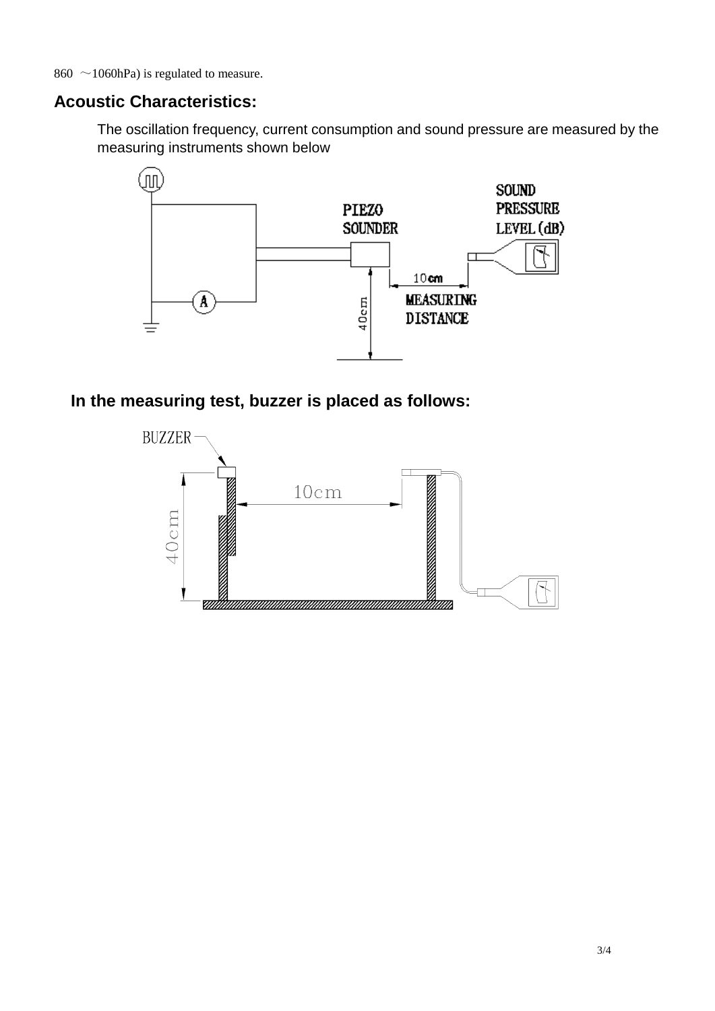860  $\sim$ 1060hPa) is regulated to measure.

### **Acoustic Characteristics:**

The oscillation frequency, current consumption and sound pressure are measured by the measuring instruments shown below



### **In the measuring test, buzzer is placed as follows:**